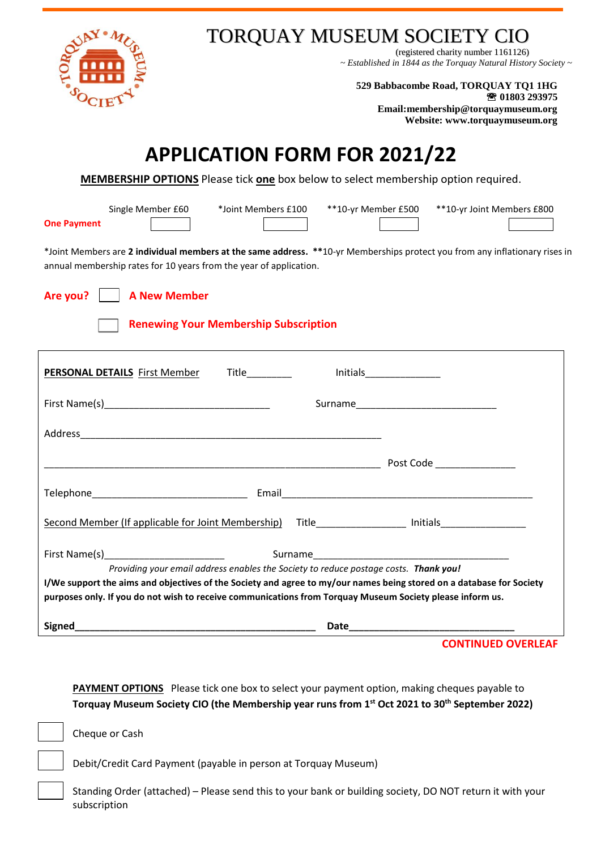

## TORQUAY MUSEUM SOCIETY CIO

(registered charity number 1161126) *~ Established in 1844 as the Torquay Natural History Society ~*

**529 Babbacombe Road, TORQUAY TQ1 1HG 01803 293975 Email:membership@torquaymuseum.org Website: www.torquaymuseum.org**

# **APPLICATION FORM FOR 2021/22**

**MEMBERSHIP OPTIONS** Please tick **one** box below to select membership option required.

**One Payment**

Single Member £60 \*Joint Members £100 \*\*10-yr Member £500 \*\*10-yr Joint Members £800

\*Joint Members are **2 individual members at the same address. \*\***10-yr Memberships protect you from any inflationary rises in annual membership rates for 10 years from the year of application.

**Are you? A New Member**

#### **Renewing Your Membership Subscription**

| <b>PERSONAL DETAILS</b> First Member                                                                                                                                                                                                                                                                                      |  |  |                           |  |
|---------------------------------------------------------------------------------------------------------------------------------------------------------------------------------------------------------------------------------------------------------------------------------------------------------------------------|--|--|---------------------------|--|
|                                                                                                                                                                                                                                                                                                                           |  |  |                           |  |
|                                                                                                                                                                                                                                                                                                                           |  |  |                           |  |
|                                                                                                                                                                                                                                                                                                                           |  |  | Post Code _______________ |  |
|                                                                                                                                                                                                                                                                                                                           |  |  |                           |  |
| Second Member (If applicable for Joint Membership) Title [19] [19] Initials [19] Initials [19] Initials                                                                                                                                                                                                                   |  |  |                           |  |
|                                                                                                                                                                                                                                                                                                                           |  |  |                           |  |
| Providing your email address enables the Society to reduce postage costs. Thank you!<br>I/We support the aims and objectives of the Society and agree to my/our names being stored on a database for Society<br>purposes only. If you do not wish to receive communications from Torquay Museum Society please inform us. |  |  |                           |  |
| Signed <b>Signed Signed Signed Signed Signed Signed Signed Signed Signed Signed Signed Signed Signed Signed Signed Signed Signed Signed Signed Signed Signed Signed Signed Signed</b>                                                                                                                                     |  |  | CONTINUED OVERLEA         |  |

**CONTINUED OVERLEAF**

**PAYMENT OPTIONS** Please tick one box to select your payment option, making cheques payable to **Torquay Museum Society CIO (the Membership year runs from 1 st Oct 2021 to 30 th September 2022)**

Cheque or Cash

Debit/Credit Card Payment (payable in person at Torquay Museum)

Standing Order (attached) – Please send this to your bank or building society, DO NOT return it with your subscription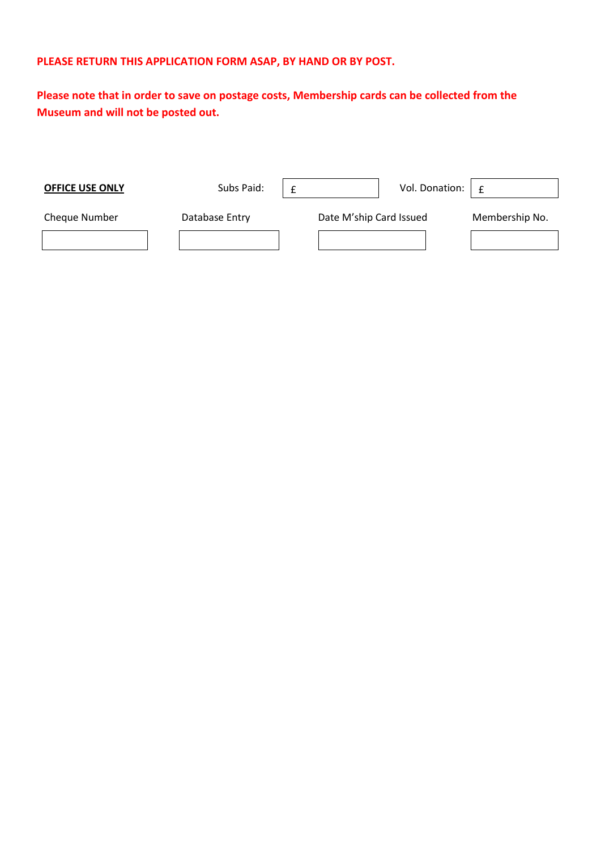#### **PLEASE RETURN THIS APPLICATION FORM ASAP, BY HAND OR BY POST.**

**Please note that in order to save on postage costs, Membership cards can be collected from the Museum and will not be posted out.**

| <b>OFFICE USE ONLY</b> | Subs Paid:     |                         | Vol. Donation: | £              |
|------------------------|----------------|-------------------------|----------------|----------------|
| Cheque Number          | Database Entry | Date M'ship Card Issued |                | Membership No. |